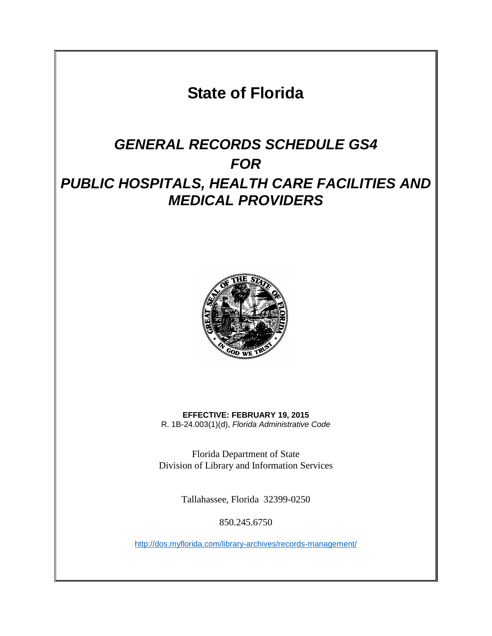**State of Florida**

# *GENERAL RECORDS SCHEDULE GS4 FOR PUBLIC HOSPITALS, HEALTH CARE FACILITIES AND MEDICAL PROVIDERS*



**EFFECTIVE: FEBRUARY 19, 2015** R. 1B-24.003(1)(d), *Florida Administrative Code*

Florida Department of State Division of Library and Information Services

Tallahassee, Florida 32399-0250

850.245.6750

<http://dos.myflorida.com/library-archives/records-management/>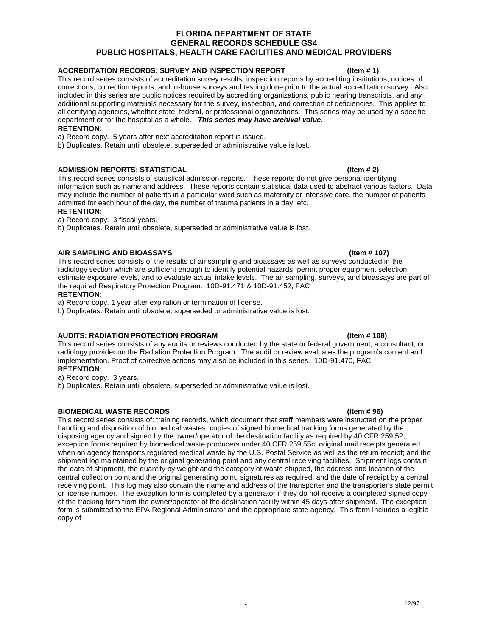### **ACCREDITATION RECORDS: SURVEY AND INSPECTION REPORT (Item # 1)**

This record series consists of accreditation survey results, inspection reports by accrediting institutions, notices of corrections, correction reports, and in-house surveys and testing done prior to the actual accreditation survey. Also included in this series are public notices required by accrediting organizations, public hearing transcripts, and any additional supporting materials necessary for the survey, inspection, and correction of deficiencies. This applies to all certifying agencies, whether state, federal, or professional organizations. This series may be used by a specific department or for the hospital as a whole. *This series may have archival value.*

### **RETENTION:**

a) Record copy. 5 years after next accreditation report is issued.

b) Duplicates. Retain until obsolete, superseded or administrative value is lost.

### **ADMISSION REPORTS: STATISTICAL (Item # 2)**

This record series consists of statistical admission reports. These reports do not give personal identifying information such as name and address. These reports contain statistical data used to abstract various factors. Data may include the number of patients in a particular ward such as maternity or intensive care, the number of patients admitted for each hour of the day, the number of trauma patients in a day, etc.

### **RETENTION:**

a) Record copy. 3 fiscal years.

b) Duplicates. Retain until obsolete, superseded or administrative value is lost.

### **AIR SAMPLING AND BIOASSAYS (Item # 107)**

This record series consists of the results of air sampling and bioassays as well as surveys conducted in the radiology section which are sufficient enough to identify potential hazards, permit proper equipment selection, estimate exposure levels, and to evaluate actual intake levels. The air sampling, surveys, and bioassays are part of the required Respiratory Protection Program. 10D-91.471 & 10D-91.452, FAC

### **RETENTION:**

a) Record copy. 1 year after expiration or termination of license.

b) Duplicates. Retain until obsolete, superseded or administrative value is lost.

### **AUDITS: RADIATION PROTECTION PROGRAM (Item # 108)**

This record series consists of any audits or reviews conducted by the state or federal government, a consultant, or radiology provider on the Radiation Protection Program. The audit or review evaluates the program's content and implementation. Proof of corrective actions may also be included in this series. 10D-91.470, FAC **RETENTION:**

a) Record copy. 3 years.

b) Duplicates. Retain until obsolete, superseded or administrative value is lost.

### **BIOMEDICAL WASTE RECORDS (Item # 96)**

This record series consists of: training records, which document that staff members were instructed on the proper handling and disposition of biomedical wastes; copies of signed biomedical tracking forms generated by the disposing agency and signed by the owner/operator of the destination facility as required by 40 CFR 259.52; exception forms required by biomedical waste producers under 40 CFR 259.55c; original mail receipts generated when an agency transports regulated medical waste by the U.S. Postal Service as well as the return receipt; and the shipment log maintained by the original generating point and any central receiving facilities. Shipment logs contain the date of shipment, the quantity by weight and the category of waste shipped, the address and location of the central collection point and the original generating point, signatures as required, and the date of receipt by a central receiving point. This log may also contain the name and address of the transporter and the transporter's state permit or license number. The exception form is completed by a generator if they do not receive a completed signed copy of the tracking form from the owner/operator of the destination facility within 45 days after shipment. The exception form is submitted to the EPA Regional Administrator and the appropriate state agency. This form includes a legible copy of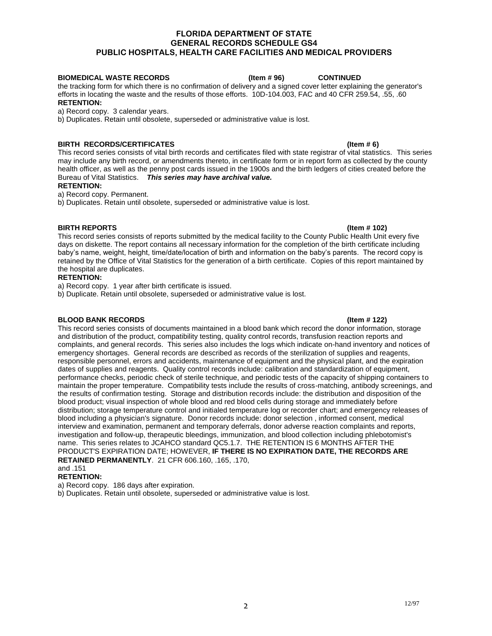### **BIOMEDICAL WASTE RECORDS (Item # 96) CONTINUED**

the tracking form for which there is no confirmation of delivery and a signed cover letter explaining the generator's efforts in locating the waste and the results of those efforts. 10D-104.003, FAC and 40 CFR 259.54, .55, .60 **RETENTION:**

a) Record copy. 3 calendar years.

b) Duplicates. Retain until obsolete, superseded or administrative value is lost.

### **BIRTH RECORDS/CERTIFICATES** (Item # 6)

This record series consists of vital birth records and certificates filed with state registrar of vital statistics. This series may include any birth record, or amendments thereto, in certificate form or in report form as collected by the county health officer, as well as the penny post cards issued in the 1900s and the birth ledgers of cities created before the Bureau of Vital Statistics. *This series may have archival value.*

**RETENTION:**

a) Record copy. Permanent.

b) Duplicates. Retain until obsolete, superseded or administrative value is lost.

### **BIRTH REPORTS (Item # 102)**

This record series consists of reports submitted by the medical facility to the County Public Health Unit every five days on diskette. The report contains all necessary information for the completion of the birth certificate including baby's name, weight, height, time/date/location of birth and information on the baby's parents. The record copy is retained by the Office of Vital Statistics for the generation of a birth certificate. Copies of this report maintained by the hospital are duplicates.

### **RETENTION:**

a) Record copy. 1 year after birth certificate is issued.

b) Duplicate. Retain until obsolete, superseded or administrative value is lost.

### **BLOOD BANK RECORDS (Item # 122)**

### This record series consists of documents maintained in a blood bank which record the donor information, storage and distribution of the product, compatibility testing, quality control records, transfusion reaction reports and complaints, and general records. This series also includes the logs which indicate on-hand inventory and notices of emergency shortages. General records are described as records of the sterilization of supplies and reagents, responsible personnel, errors and accidents, maintenance of equipment and the physical plant, and the expiration dates of supplies and reagents. Quality control records include: calibration and standardization of equipment, performance checks, periodic check of sterile technique, and periodic tests of the capacity of shipping containers to maintain the proper temperature. Compatibility tests include the results of cross-matching, antibody screenings, and the results of confirmation testing. Storage and distribution records include: the distribution and disposition of the

blood product; visual inspection of whole blood and red blood cells during storage and immediately before distribution; storage temperature control and initialed temperature log or recorder chart; and emergency releases of blood including a physician's signature. Donor records include: donor selection , informed consent, medical interview and examination, permanent and temporary deferrals, donor adverse reaction complaints and reports, investigation and follow-up, therapeutic bleedings, immunization, and blood collection including phlebotomist's name. This series relates to JCAHCO standard QC5.1.7. THE RETENTION IS 6 MONTHS AFTER THE PRODUCT'S EXPIRATION DATE; HOWEVER, **IF THERE IS NO EXPIRATION DATE, THE RECORDS ARE RETAINED PERMANENTLY**. 21 CFR 606.160, .165, .170,

### and .151

### **RETENTION:**

a) Record copy. 186 days after expiration.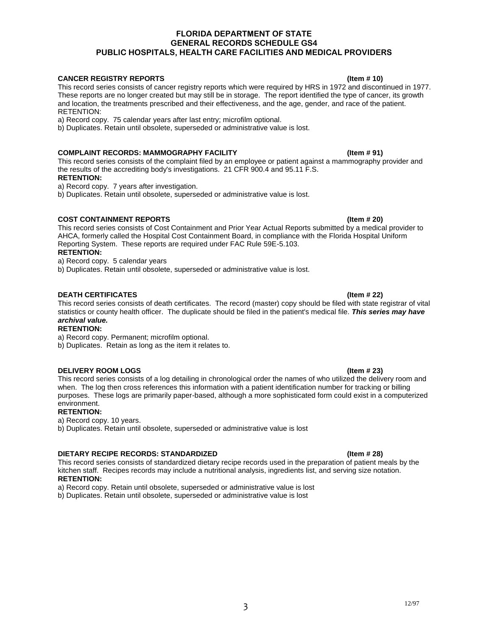### **CANCER REGISTRY REPORTS (Item # 10)**

This record series consists of cancer registry reports which were required by HRS in 1972 and discontinued in 1977. These reports are no longer created but may still be in storage. The report identified the type of cancer, its growth and location, the treatments prescribed and their effectiveness, and the age, gender, and race of the patient. RETENTION:

a) Record copy. 75 calendar years after last entry; microfilm optional.

b) Duplicates. Retain until obsolete, superseded or administrative value is lost.

### **COMPLAINT RECORDS: MAMMOGRAPHY FACILITY COMPLAINT RECORDS: MAMMOGRAPHY FACILITY**

This record series consists of the complaint filed by an employee or patient against a mammography provider and the results of the accrediting body's investigations. 21 CFR 900.4 and 95.11 F.S.

### **RETENTION:**

a) Record copy. 7 years after investigation.

b) Duplicates. Retain until obsolete, superseded or administrative value is lost.

### **COST CONTAINMENT REPORTS (Item # 20)**

This record series consists of Cost Containment and Prior Year Actual Reports submitted by a medical provider to AHCA, formerly called the Hospital Cost Containment Board, in compliance with the Florida Hospital Uniform Reporting System. These reports are required under FAC Rule 59E-5.103. **RETENTION:**

a) Record copy. 5 calendar years

b) Duplicates. Retain until obsolete, superseded or administrative value is lost.

### **DEATH CERTIFICATES (Item # 22)**

This record series consists of death certificates. The record (master) copy should be filed with state registrar of vital statistics or county health officer. The duplicate should be filed in the patient's medical file. *This series may have archival value.*

### **RETENTION:**

a) Record copy. Permanent; microfilm optional.

b) Duplicates. Retain as long as the item it relates to.

### **DELIVERY ROOM LOGS (Item # 23)**

This record series consists of a log detailing in chronological order the names of who utilized the delivery room and when. The log then cross references this information with a patient identification number for tracking or billing purposes. These logs are primarily paper-based, although a more sophisticated form could exist in a computerized environment.

### **RETENTION:**

a) Record copy. 10 years.

b) Duplicates. Retain until obsolete, superseded or administrative value is lost

### **DIETARY RECIPE RECORDS: STANDARDIZED (Item # 28)**

This record series consists of standardized dietary recipe records used in the preparation of patient meals by the kitchen staff. Recipes records may include a nutritional analysis, ingredients list, and serving size notation. **RETENTION:**

a) Record copy. Retain until obsolete, superseded or administrative value is lost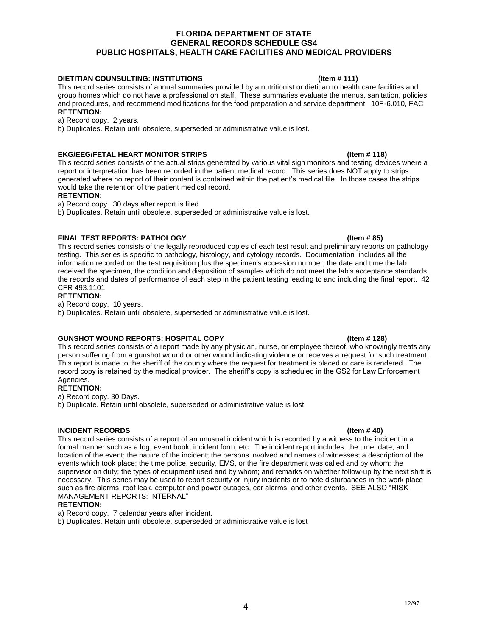### **DIETITIAN COUNSULTING: INSTITUTIONS COUNSULTING: INSTITUTIONS** (Item # 111)

This record series consists of annual summaries provided by a nutritionist or dietitian to health care facilities and group homes which do not have a professional on staff. These summaries evaluate the menus, sanitation, policies and procedures, and recommend modifications for the food preparation and service department. 10F-6.010, FAC **RETENTION:**

# a) Record copy. 2 years.

b) Duplicates. Retain until obsolete, superseded or administrative value is lost.

### **EKG/EEG/FETAL HEART MONITOR STRIPS (Item # 118)**

This record series consists of the actual strips generated by various vital sign monitors and testing devices where a report or interpretation has been recorded in the patient medical record. This series does NOT apply to strips generated where no report of their content is contained within the patient's medical file. In those cases the strips would take the retention of the patient medical record.

### **RETENTION:**

- a) Record copy. 30 days after report is filed.
- b) Duplicates. Retain until obsolete, superseded or administrative value is lost.

### **FINAL TEST REPORTS: PATHOLOGY 61 CONTRACT CONTRACT (Item # 85)**

This record series consists of the legally reproduced copies of each test result and preliminary reports on pathology testing. This series is specific to pathology, histology, and cytology records. Documentation includes all the information recorded on the test requisition plus the specimen's accession number, the date and time the lab received the specimen, the condition and disposition of samples which do not meet the lab's acceptance standards, the records and dates of performance of each step in the patient testing leading to and including the final report. 42 CFR 493.1101

### **RETENTION:**

a) Record copy. 10 years.

b) Duplicates. Retain until obsolete, superseded or administrative value is lost.

### **GUNSHOT WOUND REPORTS: HOSPITAL COPY (Item # 128)**

This record series consists of a report made by any physician, nurse, or employee thereof, who knowingly treats any person suffering from a gunshot wound or other wound indicating violence or receives a request for such treatment. This report is made to the sheriff of the county where the request for treatment is placed or care is rendered. The record copy is retained by the medical provider. The sheriff's copy is scheduled in the GS2 for Law Enforcement Agencies.

### **RETENTION:**

a) Record copy. 30 Days.

b) Duplicate. Retain until obsolete, superseded or administrative value is lost.

### **INCIDENT RECORDS (Item # 40)**

This record series consists of a report of an unusual incident which is recorded by a witness to the incident in a formal manner such as a log, event book, incident form, etc. The incident report includes: the time, date, and location of the event; the nature of the incident; the persons involved and names of witnesses; a description of the events which took place; the time police, security, EMS, or the fire department was called and by whom; the supervisor on duty; the types of equipment used and by whom; and remarks on whether follow-up by the next shift is necessary. This series may be used to report security or injury incidents or to note disturbances in the work place such as fire alarms, roof leak, computer and power outages, car alarms, and other events. SEE ALSO "RISK MANAGEMENT REPORTS: INTERNAL"

### **RETENTION:**

a) Record copy. 7 calendar years after incident.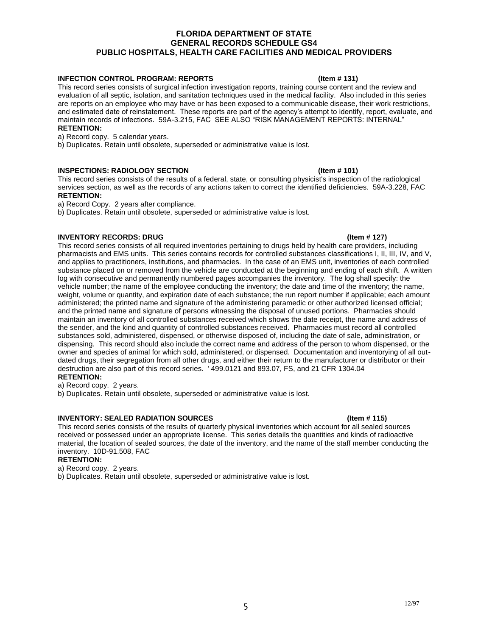### **INFECTION CONTROL PROGRAM: REPORTS (Item # 131)**

This record series consists of surgical infection investigation reports, training course content and the review and evaluation of all septic, isolation, and sanitation techniques used in the medical facility. Also included in this series are reports on an employee who may have or has been exposed to a communicable disease, their work restrictions, and estimated date of reinstatement. These reports are part of the agency's attempt to identify, report, evaluate, and maintain records of infections. 59A-3.215, FAC SEE ALSO "RISK MANAGEMENT REPORTS: INTERNAL" **RETENTION:**

a) Record copy. 5 calendar years.

b) Duplicates. Retain until obsolete, superseded or administrative value is lost.

### **INSPECTIONS: RADIOLOGY SECTION** (Item # 101)

This record series consists of the results of a federal, state, or consulting physicist's inspection of the radiological services section, as well as the records of any actions taken to correct the identified deficiencies. 59A-3.228, FAC **RETENTION:**

a) Record Copy. 2 years after compliance.

b) Duplicates. Retain until obsolete, superseded or administrative value is lost.

### **INVENTORY RECORDS: DRUG (Item # 127)** (Item # 127)

This record series consists of all required inventories pertaining to drugs held by health care providers, including pharmacists and EMS units. This series contains records for controlled substances classifications I, II, III, IV, and V, and applies to practitioners, institutions, and pharmacies. In the case of an EMS unit, inventories of each controlled substance placed on or removed from the vehicle are conducted at the beginning and ending of each shift. A written log with consecutive and permanently numbered pages accompanies the inventory. The log shall specify: the vehicle number; the name of the employee conducting the inventory; the date and time of the inventory; the name, weight, volume or quantity, and expiration date of each substance; the run report number if applicable; each amount administered; the printed name and signature of the administering paramedic or other authorized licensed official; and the printed name and signature of persons witnessing the disposal of unused portions. Pharmacies should maintain an inventory of all controlled substances received which shows the date receipt, the name and address of the sender, and the kind and quantity of controlled substances received. Pharmacies must record all controlled substances sold, administered, dispensed, or otherwise disposed of, including the date of sale, administration, or dispensing. This record should also include the correct name and address of the person to whom dispensed, or the owner and species of animal for which sold, administered, or dispensed. Documentation and inventorying of all outdated drugs, their segregation from all other drugs, and either their return to the manufacturer or distributor or their destruction are also part of this record series. ' 499.0121 and 893.07, FS, and 21 CFR 1304.04

**RETENTION:**

a) Record copy. 2 years.

b) Duplicates. Retain until obsolete, superseded or administrative value is lost.

### **INVENTORY: SEALED RADIATION SOURCES** (Item # 115)

This record series consists of the results of quarterly physical inventories which account for all sealed sources received or possessed under an appropriate license. This series details the quantities and kinds of radioactive material, the location of sealed sources, the date of the inventory, and the name of the staff member conducting the inventory. 10D-91.508, FAC

### **RETENTION:**

a) Record copy. 2 years.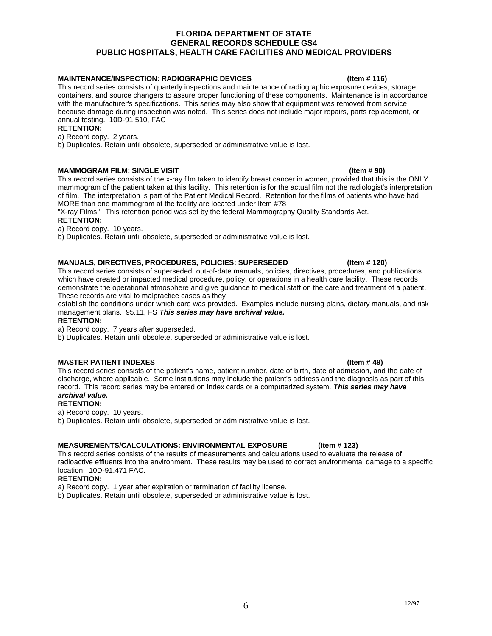### **MAINTENANCE/INSPECTION: RADIOGRAPHIC DEVICES (Item # 116)** (Item # 116)

This record series consists of quarterly inspections and maintenance of radiographic exposure devices, storage containers, and source changers to assure proper functioning of these components. Maintenance is in accordance with the manufacturer's specifications. This series may also show that equipment was removed from service because damage during inspection was noted. This series does not include major repairs, parts replacement, or annual testing. 10D-91.510, FAC

### **RETENTION:**

a) Record copy. 2 years.

b) Duplicates. Retain until obsolete, superseded or administrative value is lost.

### **MAMMOGRAM FILM: SINGLE VISIT INVESTIGATION** (Item # 90)

This record series consists of the x-ray film taken to identify breast cancer in women, provided that this is the ONLY mammogram of the patient taken at this facility. This retention is for the actual film not the radiologist's interpretation of film. The interpretation is part of the Patient Medical Record. Retention for the films of patients who have had MORE than one mammogram at the facility are located under Item #78

"X-ray Films." This retention period was set by the federal Mammography Quality Standards Act.

### **RETENTION:**

a) Record copy. 10 years.

b) Duplicates. Retain until obsolete, superseded or administrative value is lost.

### **MANUALS, DIRECTIVES, PROCEDURES, POLICIES: SUPERSEDED (Item # 120)**

This record series consists of superseded, out-of-date manuals, policies, directives, procedures, and publications which have created or impacted medical procedure, policy, or operations in a health care facility. These records demonstrate the operational atmosphere and give guidance to medical staff on the care and treatment of a patient. These records are vital to malpractice cases as they

establish the conditions under which care was provided. Examples include nursing plans, dietary manuals, and risk management plans. 95.11, FS *This series may have archival value.*

### **RETENTION:**

a) Record copy. 7 years after superseded.

b) Duplicates. Retain until obsolete, superseded or administrative value is lost.

### **MASTER PATIENT INDEXES** (Item # 49)

This record series consists of the patient's name, patient number, date of birth, date of admission, and the date of discharge, where applicable. Some institutions may include the patient's address and the diagnosis as part of this record. This record series may be entered on index cards or a computerized system. *This series may have archival value.*

### **RETENTION:**

a) Record copy. 10 years.

b) Duplicates. Retain until obsolete, superseded or administrative value is lost.

### **MEASUREMENTS/CALCULATIONS: ENVIRONMENTAL EXPOSURE (Item # 123)**

This record series consists of the results of measurements and calculations used to evaluate the release of radioactive effluents into the environment. These results may be used to correct environmental damage to a specific location. 10D-91.471 FAC.

### **RETENTION:**

a) Record copy. 1 year after expiration or termination of facility license.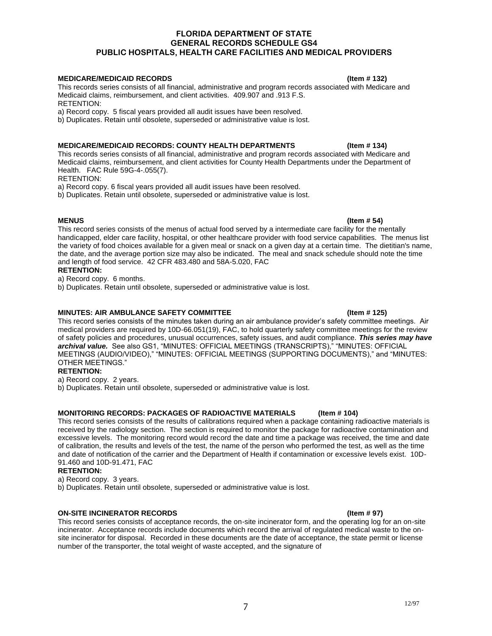### **MEDICARE/MEDICAID RECORDS (Item # 132)**

This records series consists of all financial, administrative and program records associated with Medicare and Medicaid claims, reimbursement, and client activities. 409.907 and .913 F.S. RETENTION:

a) Record copy. 5 fiscal years provided all audit issues have been resolved.

b) Duplicates. Retain until obsolete, superseded or administrative value is lost.

### **MEDICARE/MEDICAID RECORDS: COUNTY HEALTH DEPARTMENTS (Item # 134)**

This records series consists of all financial, administrative and program records associated with Medicare and Medicaid claims, reimbursement, and client activities for County Health Departments under the Department of Health. FAC Rule 59G-4-.055(7).

RETENTION:

a) Record copy. 6 fiscal years provided all audit issues have been resolved.

b) Duplicates. Retain until obsolete, superseded or administrative value is lost.

**MENUS (Item # 54)** This record series consists of the menus of actual food served by a intermediate care facility for the mentally handicapped, elder care facility, hospital, or other healthcare provider with food service capabilities. The menus list the variety of food choices available for a given meal or snack on a given day at a certain time. The dietitian's name, the date, and the average portion size may also be indicated. The meal and snack schedule should note the time and length of food service. 42 CFR 483.480 and 58A-5.020, FAC

### **RETENTION:**

a) Record copy. 6 months.

b) Duplicates. Retain until obsolete, superseded or administrative value is lost.

### **MINUTES: AIR AMBULANCE SAFETY COMMITTEE (Item # 125)** (Item # 125)

This record series consists of the minutes taken during an air ambulance provider's safety committee meetings. Air medical providers are required by 10D-66.051(19), FAC, to hold quarterly safety committee meetings for the review of safety policies and procedures, unusual occurrences, safety issues, and audit compliance. *This series may have archival value.* See also GS1, "MINUTES: OFFICIAL MEETINGS (TRANSCRIPTS)," "MINUTES: OFFICIAL MEETINGS (AUDIO/VIDEO)," "MINUTES: OFFICIAL MEETINGS (SUPPORTING DOCUMENTS)," and "MINUTES: OTHER MEETINGS."

### **RETENTION:**

a) Record copy. 2 years.

b) Duplicates. Retain until obsolete, superseded or administrative value is lost.

### **MONITORING RECORDS: PACKAGES OF RADIOACTIVE MATERIALS (Item # 104)**

This record series consists of the results of calibrations required when a package containing radioactive materials is received by the radiology section. The section is required to monitor the package for radioactive contamination and excessive levels. The monitoring record would record the date and time a package was received, the time and date of calibration, the results and levels of the test, the name of the person who performed the test, as well as the time and date of notification of the carrier and the Department of Health if contamination or excessive levels exist. 10D-91.460 and 10D-91.471, FAC

### **RETENTION:**

a) Record copy. 3 years.

b) Duplicates. Retain until obsolete, superseded or administrative value is lost.

### **ON-SITE INCINERATOR RECORDS (Item # 97)**

This record series consists of acceptance records, the on-site incinerator form, and the operating log for an on-site incinerator. Acceptance records include documents which record the arrival of regulated medical waste to the onsite incinerator for disposal. Recorded in these documents are the date of acceptance, the state permit or license number of the transporter, the total weight of waste accepted, and the signature of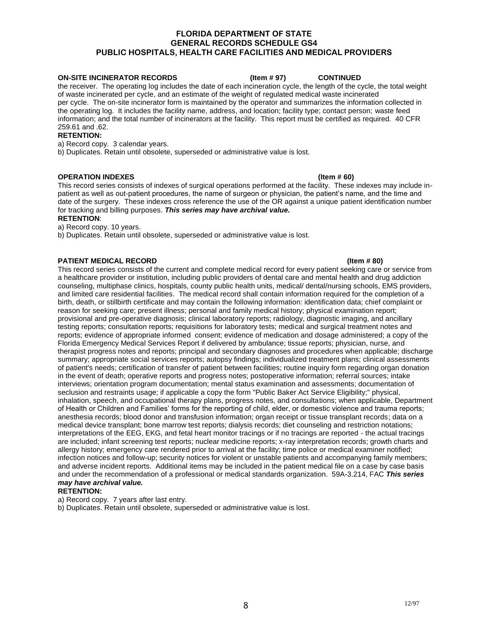### **ON-SITE INCINERATOR RECORDS (Item # 97) CONTINUED**

the receiver. The operating log includes the date of each incineration cycle, the length of the cycle, the total weight of waste incinerated per cycle, and an estimate of the weight of regulated medical waste incinerated per cycle. The on-site incinerator form is maintained by the operator and summarizes the information collected in the operating log. It includes the facility name, address, and location; facility type; contact person; waste feed information; and the total number of incinerators at the facility. This report must be certified as required. 40 CFR 259.61 and .62.

### **RETENTION:**

a) Record copy. 3 calendar years.

b) Duplicates. Retain until obsolete, superseded or administrative value is lost.

### **OPERATION INDEXES (Item # 60)**

This record series consists of indexes of surgical operations performed at the facility. These indexes may include inpatient as well as out-patient procedures, the name of surgeon or physician, the patient's name, and the time and date of the surgery. These indexes cross reference the use of the OR against a unique patient identification number for tracking and billing purposes. *This series may have archival value.*

### **RETENTION**:

a) Record copy. 10 years.

b) Duplicates. Retain until obsolete, superseded or administrative value is lost.

### **PATIENT MEDICAL RECORD** (Item # 80)

This record series consists of the current and complete medical record for every patient seeking care or service from a healthcare provider or institution, including public providers of dental care and mental health and drug addiction counseling, multiphase clinics, hospitals, county public health units, medical/ dental/nursing schools, EMS providers, and limited care residential facilities. The medical record shall contain information required for the completion of a birth, death, or stillbirth certificate and may contain the following information: identification data; chief complaint or reason for seeking care; present illness; personal and family medical history; physical examination report; provisional and pre-operative diagnosis; clinical laboratory reports; radiology, diagnostic imaging, and ancillary testing reports; consultation reports; requisitions for laboratory tests; medical and surgical treatment notes and reports; evidence of appropriate informed consent; evidence of medication and dosage administered; a copy of the Florida Emergency Medical Services Report if delivered by ambulance; tissue reports; physician, nurse, and therapist progress notes and reports; principal and secondary diagnoses and procedures when applicable; discharge summary; appropriate social services reports; autopsy findings; individualized treatment plans; clinical assessments of patient's needs; certification of transfer of patient between facilities; routine inquiry form regarding organ donation in the event of death; operative reports and progress notes; postoperative information; referral sources; intake interviews; orientation program documentation; mental status examination and assessments; documentation of seclusion and restraints usage; if applicable a copy the form "Public Baker Act Service Eligibility;" physical, inhalation, speech, and occupational therapy plans, progress notes, and consultations; when applicable, Department of Health or Children and Families' forms for the reporting of child, elder, or domestic violence and trauma reports; anesthesia records; blood donor and transfusion information; organ receipt or tissue transplant records; data on a medical device transplant; bone marrow test reports; dialysis records; diet counseling and restriction notations; interpretations of the EEG, EKG, and fetal heart monitor tracings or if no tracings are reported - the actual tracings are included; infant screening test reports; nuclear medicine reports; x-ray interpretation records; growth charts and allergy history; emergency care rendered prior to arrival at the facility; time police or medical examiner notified; infection notices and follow-up; security notices for violent or unstable patients and accompanying family members; and adverse incident reports. Additional items may be included in the patient medical file on a case by case basis and under the recommendation of a professional or medical standards organization. 59A-3.214, FAC *This series may have archival value.* 

### **RETENTION:**

a) Record copy. 7 years after last entry.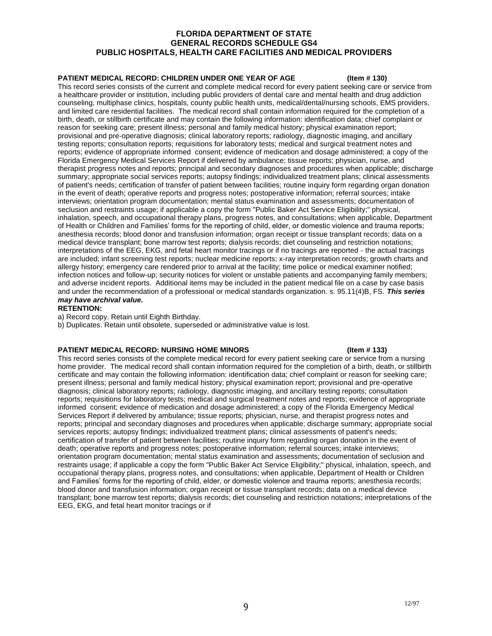### **PATIENT MEDICAL RECORD: CHILDREN UNDER ONE YEAR OF AGE (Item # 130)**

This record series consists of the current and complete medical record for every patient seeking care or service from a healthcare provider or institution, including public providers of dental care and mental health and drug addiction counseling, multiphase clinics, hospitals, county public health units, medical/dental/nursing schools, EMS providers, and limited care residential facilities. The medical record shall contain information required for the completion of a birth, death, or stillbirth certificate and may contain the following information: identification data; chief complaint or reason for seeking care; present illness; personal and family medical history; physical examination report; provisional and pre-operative diagnosis; clinical laboratory reports; radiology, diagnostic imaging, and ancillary testing reports; consultation reports; requisitions for laboratory tests; medical and surgical treatment notes and reports; evidence of appropriate informed consent; evidence of medication and dosage administered; a copy of the Florida Emergency Medical Services Report if delivered by ambulance; tissue reports; physician, nurse, and therapist progress notes and reports; principal and secondary diagnoses and procedures when applicable; discharge summary; appropriate social services reports; autopsy findings; individualized treatment plans; clinical assessments of patient's needs; certification of transfer of patient between facilities; routine inquiry form regarding organ donation in the event of death; operative reports and progress notes; postoperative information; referral sources; intake interviews; orientation program documentation; mental status examination and assessments; documentation of seclusion and restraints usage; if applicable a copy the form "Public Baker Act Service Eligibility;" physical, inhalation, speech, and occupational therapy plans, progress notes, and consultations; when applicable, Department of Health or Children and Families' forms for the reporting of child, elder, or domestic violence and trauma reports; anesthesia records; blood donor and transfusion information; organ receipt or tissue transplant records; data on a medical device transplant; bone marrow test reports; dialysis records; diet counseling and restriction notations; interpretations of the EEG, EKG, and fetal heart monitor tracings or if no tracings are reported - the actual tracings are included; infant screening test reports; nuclear medicine reports; x-ray interpretation records; growth charts and allergy history; emergency care rendered prior to arrival at the facility; time police or medical examiner notified; infection notices and follow-up; security notices for violent or unstable patients and accompanying family members; and adverse incident reports. Additional items may be included in the patient medical file on a case by case basis and under the recommendation of a professional or medical standards organization. s. 95.11(4)B, FS. *This series may have archival value.*

**RETENTION:**

a) Record copy. Retain until Eighth Birthday.

b) Duplicates. Retain until obsolete, superseded or administrative value is lost.

### **PATIENT MEDICAL RECORD: NURSING HOME MINORS (Item # 133)**

This record series consists of the complete medical record for every patient seeking care or service from a nursing home provider. The medical record shall contain information required for the completion of a birth, death, or stillbirth certificate and may contain the following information: identification data; chief complaint or reason for seeking care; present illness; personal and family medical history; physical examination report; provisional and pre-operative diagnosis; clinical laboratory reports; radiology, diagnostic imaging, and ancillary testing reports; consultation reports; requisitions for laboratory tests; medical and surgical treatment notes and reports; evidence of appropriate informed consent; evidence of medication and dosage administered; a copy of the Florida Emergency Medical Services Report if delivered by ambulance; tissue reports; physician, nurse, and therapist progress notes and reports; principal and secondary diagnoses and procedures when applicable; discharge summary; appropriate social services reports; autopsy findings; individualized treatment plans; clinical assessments of patient's needs; certification of transfer of patient between facilities; routine inquiry form regarding organ donation in the event of death; operative reports and progress notes; postoperative information; referral sources; intake interviews; orientation program documentation; mental status examination and assessments; documentation of seclusion and restraints usage; if applicable a copy the form "Public Baker Act Service Eligibility;" physical, inhalation, speech, and occupational therapy plans, progress notes, and consultations; when applicable, Department of Health or Children and Families' forms for the reporting of child, elder, or domestic violence and trauma reports; anesthesia records; blood donor and transfusion information; organ receipt or tissue transplant records; data on a medical device transplant; bone marrow test reports; dialysis records; diet counseling and restriction notations; interpretations of the EEG, EKG, and fetal heart monitor tracings or if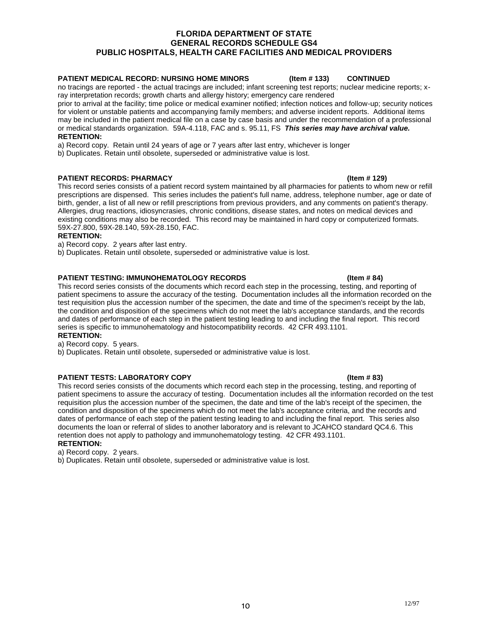### **PATIENT MEDICAL RECORD: NURSING HOME MINORS (Item # 133) CONTINUED**

no tracings are reported - the actual tracings are included; infant screening test reports; nuclear medicine reports; xray interpretation records; growth charts and allergy history; emergency care rendered

prior to arrival at the facility; time police or medical examiner notified; infection notices and follow-up; security notices for violent or unstable patients and accompanying family members; and adverse incident reports. Additional items may be included in the patient medical file on a case by case basis and under the recommendation of a professional or medical standards organization. 59A-4.118, FAC and s. 95.11, FS *This series may have archival value.* **RETENTION:**

a) Record copy. Retain until 24 years of age or 7 years after last entry, whichever is longer

b) Duplicates. Retain until obsolete, superseded or administrative value is lost.

### **PATIENT RECORDS: PHARMACY (Item # 129)**

This record series consists of a patient record system maintained by all pharmacies for patients to whom new or refill prescriptions are dispensed. This series includes the patient's full name, address, telephone number, age or date of birth, gender, a list of all new or refill prescriptions from previous providers, and any comments on patient's therapy. Allergies, drug reactions, idiosyncrasies, chronic conditions, disease states, and notes on medical devices and existing conditions may also be recorded. This record may be maintained in hard copy or computerized formats. 59X-27.800, 59X-28.140, 59X-28.150, FAC.

### **RETENTION:**

a) Record copy. 2 years after last entry.

b) Duplicates. Retain until obsolete, superseded or administrative value is lost.

### **PATIENT TESTING: IMMUNOHEMATOLOGY RECORDS (Item # 84)** (Item # 84)

This record series consists of the documents which record each step in the processing, testing, and reporting of patient specimens to assure the accuracy of the testing. Documentation includes all the information recorded on the test requisition plus the accession number of the specimen, the date and time of the specimen's receipt by the lab, the condition and disposition of the specimens which do not meet the lab's acceptance standards, and the records and dates of performance of each step in the patient testing leading to and including the final report. This record series is specific to immunohematology and histocompatibility records. 42 CFR 493.1101. **RETENTION:**

a) Record copy. 5 years.

b) Duplicates. Retain until obsolete, superseded or administrative value is lost.

### **PATIENT TESTS: LABORATORY COPY (Item # 83)** (Item # 83)

This record series consists of the documents which record each step in the processing, testing, and reporting of patient specimens to assure the accuracy of testing. Documentation includes all the information recorded on the test requisition plus the accession number of the specimen, the date and time of the lab's receipt of the specimen, the condition and disposition of the specimens which do not meet the lab's acceptance criteria, and the records and dates of performance of each step of the patient testing leading to and including the final report. This series also documents the loan or referral of slides to another laboratory and is relevant to JCAHCO standard QC4.6. This retention does not apply to pathology and immunohematology testing. 42 CFR 493.1101. **RETENTION:**

a) Record copy. 2 years.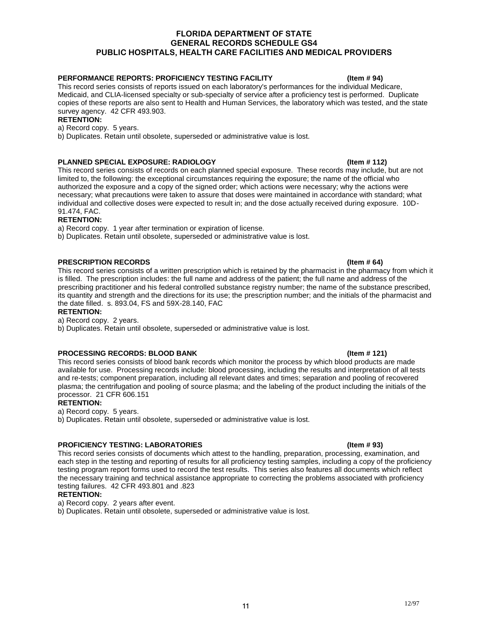### **PERFORMANCE REPORTS: PROFICIENCY TESTING FACILITY (Item # 94)**

This record series consists of reports issued on each laboratory's performances for the individual Medicare, Medicaid, and CLIA-licensed specialty or sub-specialty of service after a proficiency test is performed. Duplicate copies of these reports are also sent to Health and Human Services, the laboratory which was tested, and the state survey agency. 42 CFR 493.903.

### **RETENTION:**

a) Record copy. 5 years.

b) Duplicates. Retain until obsolete, superseded or administrative value is lost.

### **PLANNED SPECIAL EXPOSURE: RADIOLOGY (Item # 112)**

This record series consists of records on each planned special exposure. These records may include, but are not limited to, the following: the exceptional circumstances requiring the exposure; the name of the official who authorized the exposure and a copy of the signed order; which actions were necessary; why the actions were necessary; what precautions were taken to assure that doses were maintained in accordance with standard; what individual and collective doses were expected to result in; and the dose actually received during exposure. 10D-91.474, FAC.

### **RETENTION:**

a) Record copy. 1 year after termination or expiration of license.

b) Duplicates. Retain until obsolete, superseded or administrative value is lost.

### **PRESCRIPTION RECORDS (Item # 64)**

This record series consists of a written prescription which is retained by the pharmacist in the pharmacy from which it is filled. The prescription includes: the full name and address of the patient; the full name and address of the prescribing practitioner and his federal controlled substance registry number; the name of the substance prescribed, its quantity and strength and the directions for its use; the prescription number; and the initials of the pharmacist and the date filled. s. 893.04, FS and 59X-28.140, FAC

### **RETENTION:**

a) Record copy. 2 years.

b) Duplicates. Retain until obsolete, superseded or administrative value is lost.

### **PROCESSING RECORDS: BLOOD BANK (Item # 121)** (Item # 121)

This record series consists of blood bank records which monitor the process by which blood products are made available for use. Processing records include: blood processing, including the results and interpretation of all tests and re-tests; component preparation, including all relevant dates and times; separation and pooling of recovered plasma; the centrifugation and pooling of source plasma; and the labeling of the product including the initials of the processor. 21 CFR 606.151

### **RETENTION:**

a) Record copy. 5 years.

b) Duplicates. Retain until obsolete, superseded or administrative value is lost.

### **PROFICIENCY TESTING: LABORATORIES (Item # 93)**

This record series consists of documents which attest to the handling, preparation, processing, examination, and each step in the testing and reporting of results for all proficiency testing samples, including a copy of the proficiency testing program report forms used to record the test results. This series also features all documents which reflect the necessary training and technical assistance appropriate to correcting the problems associated with proficiency testing failures. 42 CFR 493.801 and .823

### **RETENTION:**

a) Record copy. 2 years after event.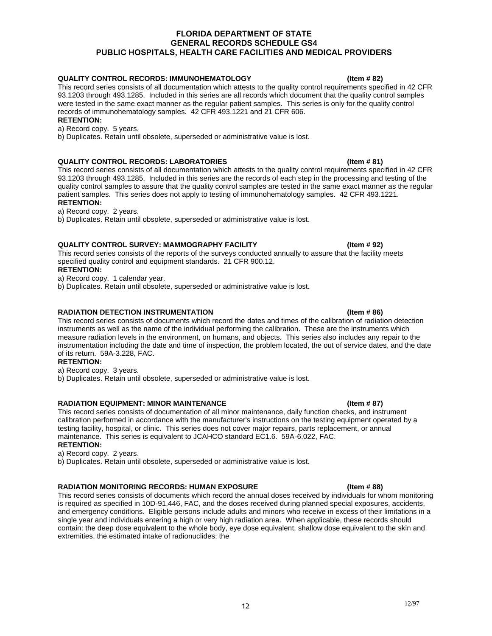### **QUALITY CONTROL RECORDS: IMMUNOHEMATOLOGY (Item # 82)**

This record series consists of all documentation which attests to the quality control requirements specified in 42 CFR 93.1203 through 493.1285. Included in this series are all records which document that the quality control samples were tested in the same exact manner as the regular patient samples. This series is only for the quality control records of immunohematology samples. 42 CFR 493.1221 and 21 CFR 606.

### **RETENTION:**

a) Record copy. 5 years.

b) Duplicates. Retain until obsolete, superseded or administrative value is lost.

### **QUALITY CONTROL RECORDS: LABORATORIES (Item # 81)**

This record series consists of all documentation which attests to the quality control requirements specified in 42 CFR 93.1203 through 493.1285. Included in this series are the records of each step in the processing and testing of the quality control samples to assure that the quality control samples are tested in the same exact manner as the regular patient samples. This series does not apply to testing of immunohematology samples. 42 CFR 493.1221. **RETENTION:**

a) Record copy. 2 years.

b) Duplicates. Retain until obsolete, superseded or administrative value is lost.

### **QUALITY CONTROL SURVEY: MAMMOGRAPHY FACILITY (Item # 92)**

This record series consists of the reports of the surveys conducted annually to assure that the facility meets specified quality control and equipment standards. 21 CFR 900.12.

### **RETENTION:**

a) Record copy. 1 calendar year.

b) Duplicates. Retain until obsolete, superseded or administrative value is lost.

### **RADIATION DETECTION INSTRUMENTATION (Item # 86)**

This record series consists of documents which record the dates and times of the calibration of radiation detection instruments as well as the name of the individual performing the calibration. These are the instruments which measure radiation levels in the environment, on humans, and objects. This series also includes any repair to the instrumentation including the date and time of inspection, the problem located, the out of service dates, and the date of its return. 59A-3.228, FAC.

### **RETENTION:**

a) Record copy. 3 years.

b) Duplicates. Retain until obsolete, superseded or administrative value is lost.

### **RADIATION EQUIPMENT: MINOR MAINTENANCE (Item # 87)** (Item # 87)

This record series consists of documentation of all minor maintenance, daily function checks, and instrument calibration performed in accordance with the manufacturer's instructions on the testing equipment operated by a testing facility, hospital, or clinic. This series does not cover major repairs, parts replacement, or annual maintenance. This series is equivalent to JCAHCO standard EC1.6. 59A-6.022, FAC. **RETENTION:**

a) Record copy. 2 years.

b) Duplicates. Retain until obsolete, superseded or administrative value is lost.

### RADIATION MONITORING RECORDS: HUMAN EXPOSURE (Item # 88)

This record series consists of documents which record the annual doses received by individuals for whom monitoring is required as specified in 10D-91.446, FAC, and the doses received during planned special exposures, accidents, and emergency conditions. Eligible persons include adults and minors who receive in excess of their limitations in a single year and individuals entering a high or very high radiation area. When applicable, these records should contain: the deep dose equivalent to the whole body, eve dose equivalent, shallow dose equivalent to the skin and extremities, the estimated intake of radionuclides; the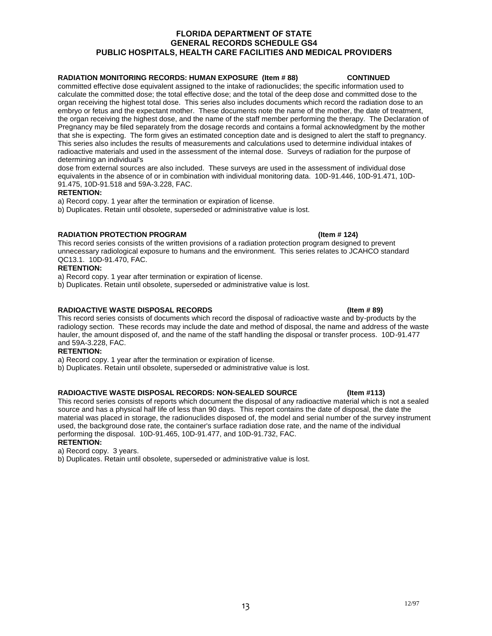### **RADIATION MONITORING RECORDS: HUMAN EXPOSURE (Item # 88) CONTINUED**

committed effective dose equivalent assigned to the intake of radionuclides; the specific information used to calculate the committed dose; the total effective dose; and the total of the deep dose and committed dose to the organ receiving the highest total dose. This series also includes documents which record the radiation dose to an embryo or fetus and the expectant mother. These documents note the name of the mother, the date of treatment, the organ receiving the highest dose, and the name of the staff member performing the therapy. The Declaration of Pregnancy may be filed separately from the dosage records and contains a formal acknowledgment by the mother that she is expecting. The form gives an estimated conception date and is designed to alert the staff to pregnancy. This series also includes the results of measurements and calculations used to determine individual intakes of radioactive materials and used in the assessment of the internal dose. Surveys of radiation for the purpose of determining an individual's

dose from external sources are also included. These surveys are used in the assessment of individual dose equivalents in the absence of or in combination with individual monitoring data. 10D-91.446, 10D-91.471, 10D-91.475, 10D-91.518 and 59A-3.228, FAC.

### **RETENTION:**

a) Record copy. 1 year after the termination or expiration of license.

b) Duplicates. Retain until obsolete, superseded or administrative value is lost.

### **RADIATION PROTECTION PROGRAM (Item # 124)**

This record series consists of the written provisions of a radiation protection program designed to prevent unnecessary radiological exposure to humans and the environment. This series relates to JCAHCO standard QC13.1. 10D-91.470, FAC.

### **RETENTION:**

a) Record copy. 1 year after termination or expiration of license.

b) Duplicates. Retain until obsolete, superseded or administrative value is lost.

### **RADIOACTIVE WASTE DISPOSAL RECORDS (Item # 89)**

This record series consists of documents which record the disposal of radioactive waste and by-products by the radiology section. These records may include the date and method of disposal, the name and address of the waste hauler, the amount disposed of, and the name of the staff handling the disposal or transfer process. 10D-91.477 and 59A-3.228, FAC.

### **RETENTION:**

a) Record copy. 1 year after the termination or expiration of license.

b) Duplicates. Retain until obsolete, superseded or administrative value is lost.

### **RADIOACTIVE WASTE DISPOSAL RECORDS: NON-SEALED SOURCE (Item #113)**

This record series consists of reports which document the disposal of any radioactive material which is not a sealed source and has a physical half life of less than 90 days. This report contains the date of disposal, the date the material was placed in storage, the radionuclides disposed of, the model and serial number of the survey instrument used, the background dose rate, the container's surface radiation dose rate, and the name of the individual performing the disposal. 10D-91.465, 10D-91.477, and 10D-91.732, FAC.

# **RETENTION:**

a) Record copy. 3 years.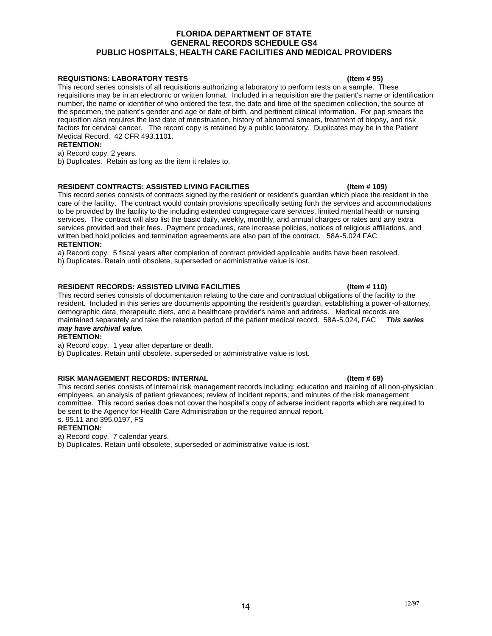### **REQUISTIONS: LABORATORY TESTS (Item # 95)**

This record series consists of all requisitions authorizing a laboratory to perform tests on a sample. These requisitions may be in an electronic or written format. Included in a requisition are the patient's name or identification number, the name or identifier of who ordered the test, the date and time of the specimen collection, the source of the specimen, the patient's gender and age or date of birth, and pertinent clinical information. For pap smears the requisition also requires the last date of menstruation, history of abnormal smears, treatment of biopsy, and risk factors for cervical cancer. The record copy is retained by a public laboratory. Duplicates may be in the Patient Medical Record. 42 CFR 493.1101.

### **RETENTION:**

a) Record copy. 2 years.

b) Duplicates. Retain as long as the item it relates to.

### **RESIDENT CONTRACTS: ASSISTED LIVING FACILITIES (Item # 109)**

This record series consists of contracts signed by the resident or resident's guardian which place the resident in the care of the facility. The contract would contain provisions specifically setting forth the services and accommodations to be provided by the facility to the including extended congregate care services, limited mental health or nursing services. The contract will also list the basic daily, weekly, monthly, and annual charges or rates and any extra services provided and their fees. Payment procedures, rate increase policies, notices of religious affiliations, and written bed hold policies and termination agreements are also part of the contract. 58A-5.024 FAC. **RETENTION:**

a) Record copy. 5 fiscal years after completion of contract provided applicable audits have been resolved.

b) Duplicates. Retain until obsolete, superseded or administrative value is lost.

### RESIDENT RECORDS: ASSISTED LIVING FACILITIES **(Item # 110)** (Item # 110)

This record series consists of documentation relating to the care and contractual obligations of the facility to the resident. Included in this series are documents appointing the resident's guardian, establishing a power-of-attorney, demographic data, therapeutic diets, and a healthcare provider's name and address. Medical records are maintained separately and take the retention period of the patient medical record. 58A-5.024, FAC *This series may have archival value.*

### **RETENTION:**

a) Record copy. 1 year after departure or death.

b) Duplicates. Retain until obsolete, superseded or administrative value is lost.

### **RISK MANAGEMENT RECORDS: INTERNAL (Item # 69)**

This record series consists of internal risk management records including: education and training of all non-physician employees, an analysis of patient grievances; review of incident reports; and minutes of the risk management committee. This record series does not cover the hospital's copy of adverse incident reports which are required to be sent to the Agency for Health Care Administration or the required annual report. s. 95.11 and 395.0197, FS

### **RETENTION:**

a) Record copy. 7 calendar years.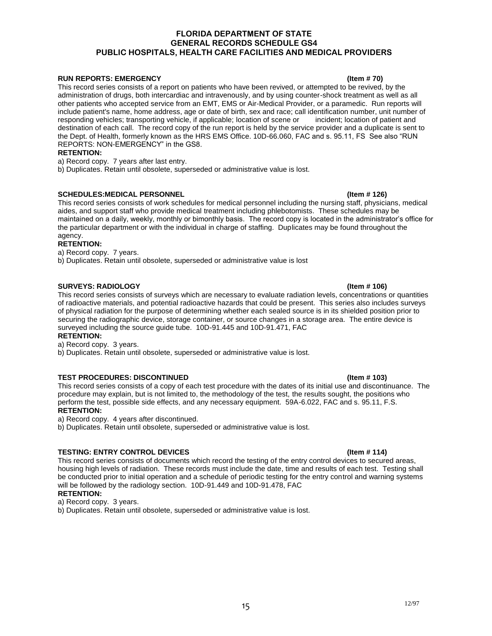### **RUN REPORTS: EMERGENCY (Item # 70)** (Item # 70)

This record series consists of a report on patients who have been revived, or attempted to be revived, by the administration of drugs, both intercardiac and intravenously, and by using counter-shock treatment as well as all other patients who accepted service from an EMT, EMS or Air-Medical Provider, or a paramedic. Run reports will include patient's name, home address, age or date of birth, sex and race; call identification number, unit number of responding vehicles; transporting vehicle, if applicable; location of scene or incident; location of pati responding vehicles; transporting vehicle, if applicable; location of scene or destination of each call. The record copy of the run report is held by the service provider and a duplicate is sent to the Dept. of Health, formerly known as the HRS EMS Office. 10D-66.060, FAC and s. 95.11, FS See also "RUN REPORTS: NON-EMERGENCY" in the GS8.

### **RETENTION:**

a) Record copy. 7 years after last entry.

b) Duplicates. Retain until obsolete, superseded or administrative value is lost.

### **SCHEDULES:MEDICAL PERSONNEL (Item # 126)** (Item # 126)

This record series consists of work schedules for medical personnel including the nursing staff, physicians, medical aides, and support staff who provide medical treatment including phlebotomists. These schedules may be maintained on a daily, weekly, monthly or bimonthly basis. The record copy is located in the administrator's office for the particular department or with the individual in charge of staffing. Duplicates may be found throughout the agency.

### **RETENTION:**

a) Record copy. 7 years.

b) Duplicates. Retain until obsolete, superseded or administrative value is lost

### **SURVEYS: RADIOLOGY (Item # 106)**

This record series consists of surveys which are necessary to evaluate radiation levels, concentrations or quantities of radioactive materials, and potential radioactive hazards that could be present. This series also includes surveys of physical radiation for the purpose of determining whether each sealed source is in its shielded position prior to securing the radiographic device, storage container, or source changes in a storage area. The entire device is surveyed including the source guide tube. 10D-91.445 and 10D-91.471, FAC

**RETENTION:**

a) Record copy. 3 years.

b) Duplicates. Retain until obsolete, superseded or administrative value is lost.

### **TEST PROCEDURES: DISCONTINUED (Item # 103)**

This record series consists of a copy of each test procedure with the dates of its initial use and discontinuance. The procedure may explain, but is not limited to, the methodology of the test, the results sought, the positions who perform the test, possible side effects, and any necessary equipment. 59A-6.022, FAC and s. 95.11, F.S. **RETENTION:**

a) Record copy. 4 years after discontinued.

b) Duplicates. Retain until obsolete, superseded or administrative value is lost.

### **TESTING: ENTRY CONTROL DEVICES (Item # 114)**

This record series consists of documents which record the testing of the entry control devices to secured areas, housing high levels of radiation. These records must include the date, time and results of each test. Testing shall be conducted prior to initial operation and a schedule of periodic testing for the entry control and warning systems will be followed by the radiology section. 10D-91.449 and 10D-91.478, FAC **RETENTION:**

a) Record copy. 3 years.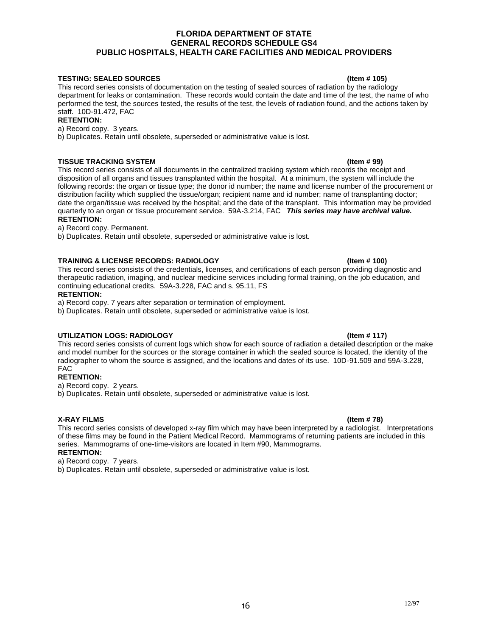### **TESTING: SEALED SOURCES (Item # 105)**

This record series consists of documentation on the testing of sealed sources of radiation by the radiology department for leaks or contamination. These records would contain the date and time of the test, the name of who performed the test, the sources tested, the results of the test, the levels of radiation found, and the actions taken by staff. 10D-91.472, FAC

### **RETENTION:**

a) Record copy. 3 years.

b) Duplicates. Retain until obsolete, superseded or administrative value is lost.

### **TISSUE TRACKING SYSTEM (Item # 99)**

This record series consists of all documents in the centralized tracking system which records the receipt and disposition of all organs and tissues transplanted within the hospital. At a minimum, the system will include the following records: the organ or tissue type; the donor id number; the name and license number of the procurement or distribution facility which supplied the tissue/organ; recipient name and id number; name of transplanting doctor; date the organ/tissue was received by the hospital; and the date of the transplant. This information may be provided quarterly to an organ or tissue procurement service. 59A-3.214, FAC *This series may have archival value.* **RETENTION:**

a) Record copy. Permanent.

b) Duplicates. Retain until obsolete, superseded or administrative value is lost.

### **TRAINING & LICENSE RECORDS: RADIOLOGY (Item # 100)**

This record series consists of the credentials, licenses, and certifications of each person providing diagnostic and therapeutic radiation, imaging, and nuclear medicine services including formal training, on the job education, and continuing educational credits. 59A-3.228, FAC and s. 95.11, FS

### **RETENTION:**

a) Record copy. 7 years after separation or termination of employment.

b) Duplicates. Retain until obsolete, superseded or administrative value is lost.

### UTILIZATION LOGS: RADIOLOGY **And Contact Contact Contact Contact Contact Contact Contact Contact Contact Contact Contact Contact Contact Contact Contact Contact Contact Contact Contact Contact Contact Contact Contact Conta**

This record series consists of current logs which show for each source of radiation a detailed description or the make and model number for the sources or the storage container in which the sealed source is located, the identity of the radiographer to whom the source is assigned, and the locations and dates of its use. 10D-91.509 and 59A-3.228, FAC

### **RETENTION:**

a) Record copy. 2 years.

b) Duplicates. Retain until obsolete, superseded or administrative value is lost.

### **X-RAY FILMS (Item # 78)**

This record series consists of developed x-ray film which may have been interpreted by a radiologist. Interpretations of these films may be found in the Patient Medical Record. Mammograms of returning patients are included in this series. Mammograms of one-time-visitors are located in Item #90, Mammograms. **RETENTION:**

a) Record copy. 7 years.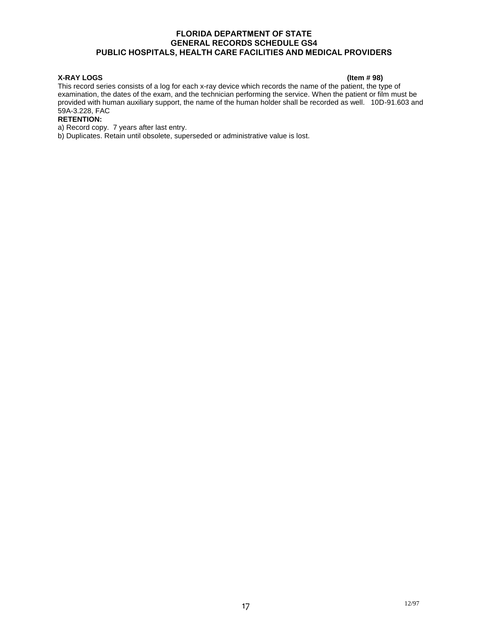### **X-RAY LOGS (Item # 98)**

This record series consists of a log for each x-ray device which records the name of the patient, the type of examination, the dates of the exam, and the technician performing the service. When the patient or film must be provided with human auxiliary support, the name of the human holder shall be recorded as well. 10D-91.603 and 59A-3.228, FAC

### **RETENTION:**

a) Record copy. 7 years after last entry.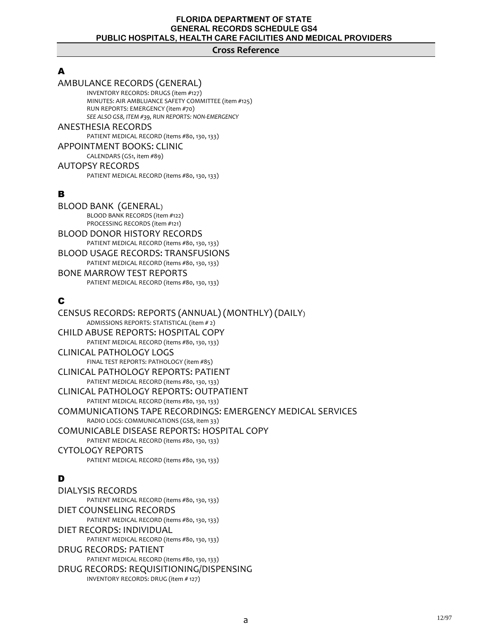### **Cross Reference**

# A

### AMBULANCE RECORDS (GENERAL) INVENTORY RECORDS: DRUGS (item #127) MINUTES: AIR AMBLUANCE SAFETY COMMITTEE (item #125) RUN REPORTS: EMERGENCY (item #70) *SEE ALSO GS8, ITEM #39, RUN REPORTS: NON-EMERGENCY* ANESTHESIA RECORDS PATIENT MEDICAL RECORD (items #80, 130, 133)

### APPOINTMENT BOOKS: CLINIC

CALENDARS (GS1, item #89) AUTOPSY RECORDS PATIENT MEDICAL RECORD (items #80, 130, 133)

# B

BLOOD BANK (GENERAL) BLOOD BANK RECORDS (item #122) PROCESSING RECORDS (item #121) BLOOD DONOR HISTORY RECORDS PATIENT MEDICAL RECORD (items #80, 130, 133) BLOOD USAGE RECORDS: TRANSFUSIONS PATIENT MEDICAL RECORD (items #80, 130, 133) BONE MARROW TEST REPORTS PATIENT MEDICAL RECORD (items #80, 130, 133)

# C

CENSUS RECORDS: REPORTS (ANNUAL) (MONTHLY) (DAILY) ADMISSIONS REPORTS: STATISTICAL (item # 2) CHILD ABUSE REPORTS: HOSPITAL COPY PATIENT MEDICAL RECORD (items #80, 130, 133) CLINICAL PATHOLOGY LOGS FINAL TEST REPORTS: PATHOLOGY (item #85) CLINICAL PATHOLOGY REPORTS: PATIENT PATIENT MEDICAL RECORD (items #80, 130, 133) CLINICAL PATHOLOGY REPORTS: OUTPATIENT PATIENT MEDICAL RECORD (items #80, 130, 133) COMMUNICATIONS TAPE RECORDINGS: EMERGENCY MEDICAL SERVICES RADIO LOGS: COMMUNICATIONS (GS8, item 33) COMUNICABLE DISEASE REPORTS: HOSPITAL COPY PATIENT MEDICAL RECORD (items #80, 130, 133) CYTOLOGY REPORTS PATIENT MEDICAL RECORD (items #80, 130, 133)

# D

DIALYSIS RECORDS PATIENT MEDICAL RECORD (items #80, 130, 133) DIET COUNSELING RECORDS PATIENT MEDICAL RECORD (items #80, 130, 133) DIET RECORDS: INDIVIDUAL PATIENT MEDICAL RECORD (items #80, 130, 133) DRUG RECORDS: PATIENT PATIENT MEDICAL RECORD (items #80, 130, 133) DRUG RECORDS: REQUISITIONING/DISPENSING INVENTORY RECORDS: DRUG (item # 127)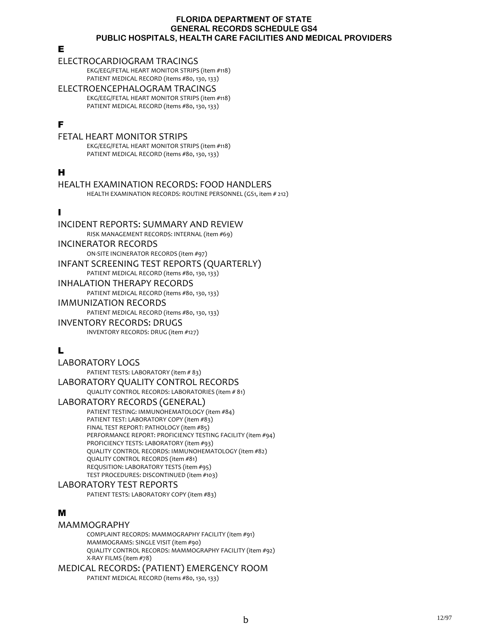### E

### ELECTROCARDIOGRAM TRACINGS

EKG/EEG/FETAL HEART MONITOR STRIPS (item #118) PATIENT MEDICAL RECORD (items #80, 130, 133)

ELECTROENCEPHALOGRAM TRACINGS EKG/EEG/FETAL HEART MONITOR STRIPS (item #118) PATIENT MEDICAL RECORD (items #80, 130, 133)

# F

### FETAL HEART MONITOR STRIPS

EKG/EEG/FETAL HEART MONITOR STRIPS (item #118) PATIENT MEDICAL RECORD (items #80, 130, 133)

# H

## HEALTH EXAMINATION RECORDS: FOOD HANDLERS

HEALTH EXAMINATION RECORDS: ROUTINE PERSONNEL (GS1, item # 212)

# I

### INCIDENT REPORTS: SUMMARY AND REVIEW RISK MANAGEMENT RECORDS: INTERNAL (item #69) INCINERATOR RECORDS ON-SITE INCINERATOR RECORDS (item #97) INFANT SCREENING TEST REPORTS (QUARTERLY) PATIENT MEDICAL RECORD (items #80, 130, 133) INHALATION THERAPY RECORDS PATIENT MEDICAL RECORD (items #80, 130, 133) IMMUNIZATION RECORDS PATIENT MEDICAL RECORD (items #80, 130, 133) INVENTORY RECORDS: DRUGS

INVENTORY RECORDS: DRUG (item #127)

# L

### LABORATORY LOGS PATIENT TESTS: LABORATORY (item # 83) LABORATORY QUALITY CONTROL RECORDS

QUALITY CONTROL RECORDS: LABORATORIES (item # 81)

### LABORATORY RECORDS (GENERAL)

PATIENT TESTING: IMMUNOHEMATOLOGY (item #84) PATIENT TEST: LABORATORY COPY (item #83) FINAL TEST REPORT: PATHOLOGY (item #85) PERFORMANCE REPORT: PROFICIENCY TESTING FACILITY (item #94) PROFICIENCY TESTS: LABORATORY (item #93) QUALITY CONTROL RECORDS: IMMUNOHEMATOLOGY (item #82) QUALITY CONTROL RECORDS (item #81) REQUSITION: LABORATORY TESTS (item #95) TEST PROCEDURES: DISCONTINUED (item #103)

### LABORATORY TEST REPORTS

PATIENT TESTS: LABORATORY COPY (item #83)

# M

### MAMMOGRAPHY

COMPLAINT RECORDS: MAMMOGRAPHY FACILITY (item #91) MAMMOGRAMS: SINGLE VISIT (item #90) QUALITY CONTROL RECORDS: MAMMOGRAPHY FACILITY (item #92) X-RAY FILMS (item #78)

### MEDICAL RECORDS: (PATIENT) EMERGENCY ROOM

PATIENT MEDICAL RECORD (items #80, 130, 133)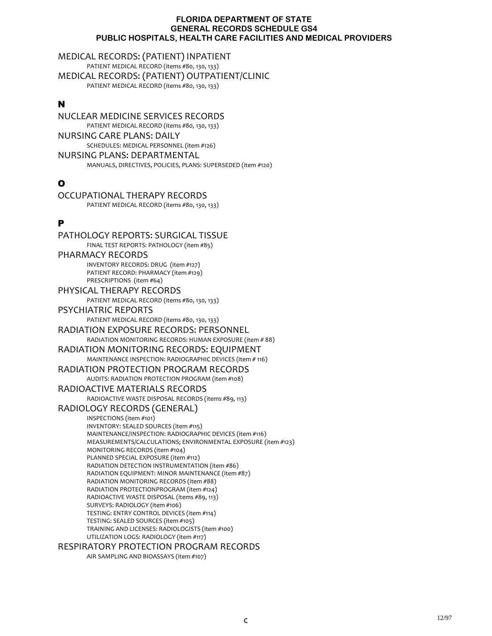MEDICAL RECORDS: (PATIENT) INPATIENT PATIENT MEDICAL RECORD (items #80, 130, 133) MEDICAL RECORDS: (PATIENT) OUTPATIENT/CLINIC PATIENT MEDICAL RECORD (items #80, 130, 133)

# N

NUCLEAR MEDICINE SERVICES RECORDS PATIENT MEDICAL RECORD (items #80, 130, 133) NURSING CARE PLANS: DAILY SCHEDULES: MEDICAL PERSONNEL (item #126) NURSING PLANS: DEPARTMENTAL MANUALS, DIRECTIVES, POLICIES, PLANS: SUPERSEDED (item #120)

# O

OCCUPATIONAL THERAPY RECORDS PATIENT MEDICAL RECORD (items #80, 130, 133)

# P

PATHOLOGY REPORTS: SURGICAL TISSUE FINAL TEST REPORTS: PATHOLOGY (item #85) PHARMACY RECORDS INVENTORY RECORDS: DRUG (item #127) PATIENT RECORD: PHARMACY (item #129) PRESCRIPTIONS (item #64) PHYSICAL THERAPY RECORDS PATIENT MEDICAL RECORD (items #80, 130, 133) PSYCHIATRIC REPORTS PATIENT MEDICAL RECORD (items #80, 130, 133) RADIATION EXPOSURE RECORDS: PERSONNEL RADIATION MONITORING RECORDS: HUMAN EXPOSURE (item # 88) RADIATION MONITORING RECORDS: EQUIPMENT MAINTENANCE INSPECTION: RADIOGRAPHIC DEVICES (item # 116) RADIATION PROTECTION PROGRAM RECORDS AUDITS: RADIATION PROTECTION PROGRAM (item #108) RADIOACTIVE MATERIALS RECORDS RADIOACTIVE WASTE DISPOSAL RECORDS (items #89, 113) RADIOLOGY RECORDS (GENERAL) INSPECTIONS (item #101) INVENTORY: SEALED SOURCES (item #115) MAINTENANCE/INSPECTION: RADIOGRAPHIC DEVICES (item #116) MEASUREMENTS/CALCULATIONS; ENVIRONMENTAL EXPOSURE (item #123) MONITORING RECORDS (item #104) PLANNED SPECIAL EXPOSURE (item #112) RADIATION DETECTION INSTRUMENTATION (item #86) RADIATION EQUIPMENT: MINOR MAINTENANCE (item #87) RADIATION MONITORING RECORDS (item #88) RADIATION PROTECTIONPROGRAM (item #124) RADIOACTIVE WASTE DISPOSAL (items #89, 113) SURVEYS: RADIOLOGY (item #106) TESTING: ENTRY CONTROL DEVICES (item #114) TESTING: SEALED SOURCES (item #105) TRAINING AND LICENSES: RADIOLOGISTS (item #100) UTILIZATION LOGS: RADIOLOGY (item #117) RESPIRATORY PROTECTION PROGRAM RECORDS

AIR SAMPLING AND BIOASSAYS (item #107)